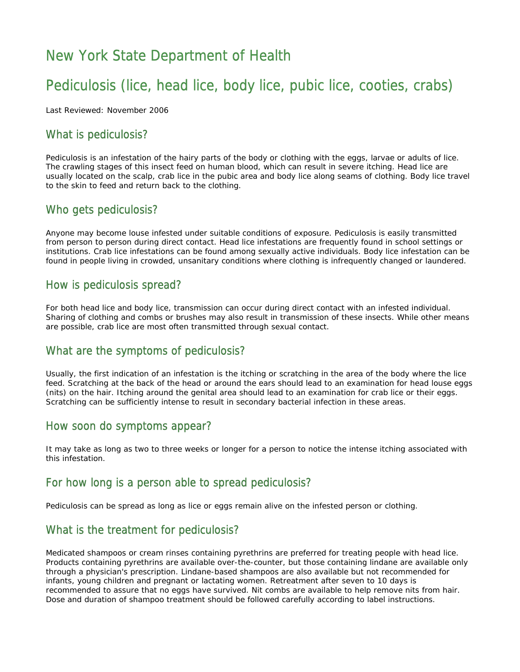# New York State Department of Health

## Pediculosis (lice, head lice, body lice, pubic lice, cooties, crabs)

Last Reviewed: November 2006

### What is pediculosis?

Pediculosis is an infestation of the hairy parts of the body or clothing with the eggs, larvae or adults of lice. The crawling stages of this insect feed on human blood, which can result in severe itching. Head lice are usually located on the scalp, crab lice in the pubic area and body lice along seams of clothing. Body lice travel to the skin to feed and return back to the clothing.

#### Who gets pediculosis?

Anyone may become louse infested under suitable conditions of exposure. Pediculosis is easily transmitted from person to person during direct contact. Head lice infestations are frequently found in school settings or institutions. Crab lice infestations can be found among sexually active individuals. Body lice infestation can be found in people living in crowded, unsanitary conditions where clothing is infrequently changed or laundered.

#### How is pediculosis spread?

For both head lice and body lice, transmission can occur during direct contact with an infested individual. Sharing of clothing and combs or brushes may also result in transmission of these insects. While other means are possible, crab lice are most often transmitted through sexual contact.

#### What are the symptoms of pediculosis?

Usually, the first indication of an infestation is the itching or scratching in the area of the body where the lice feed. Scratching at the back of the head or around the ears should lead to an examination for head louse eggs (nits) on the hair. Itching around the genital area should lead to an examination for crab lice or their eggs. Scratching can be sufficiently intense to result in secondary bacterial infection in these areas.

#### How soon do symptoms appear?

It may take as long as two to three weeks or longer for a person to notice the intense itching associated with this infestation.

#### For how long is a person able to spread pediculosis?

Pediculosis can be spread as long as lice or eggs remain alive on the infested person or clothing.

## What is the treatment for pediculosis?

Medicated shampoos or cream rinses containing pyrethrins are preferred for treating people with head lice. Products containing pyrethrins are available over-the-counter, but those containing lindane are available only through a physician's prescription. Lindane-based shampoos are also available but not recommended for infants, young children and pregnant or lactating women. Retreatment after seven to 10 days is recommended to assure that no eggs have survived. Nit combs are available to help remove nits from hair. Dose and duration of shampoo treatment should be followed carefully according to label instructions.